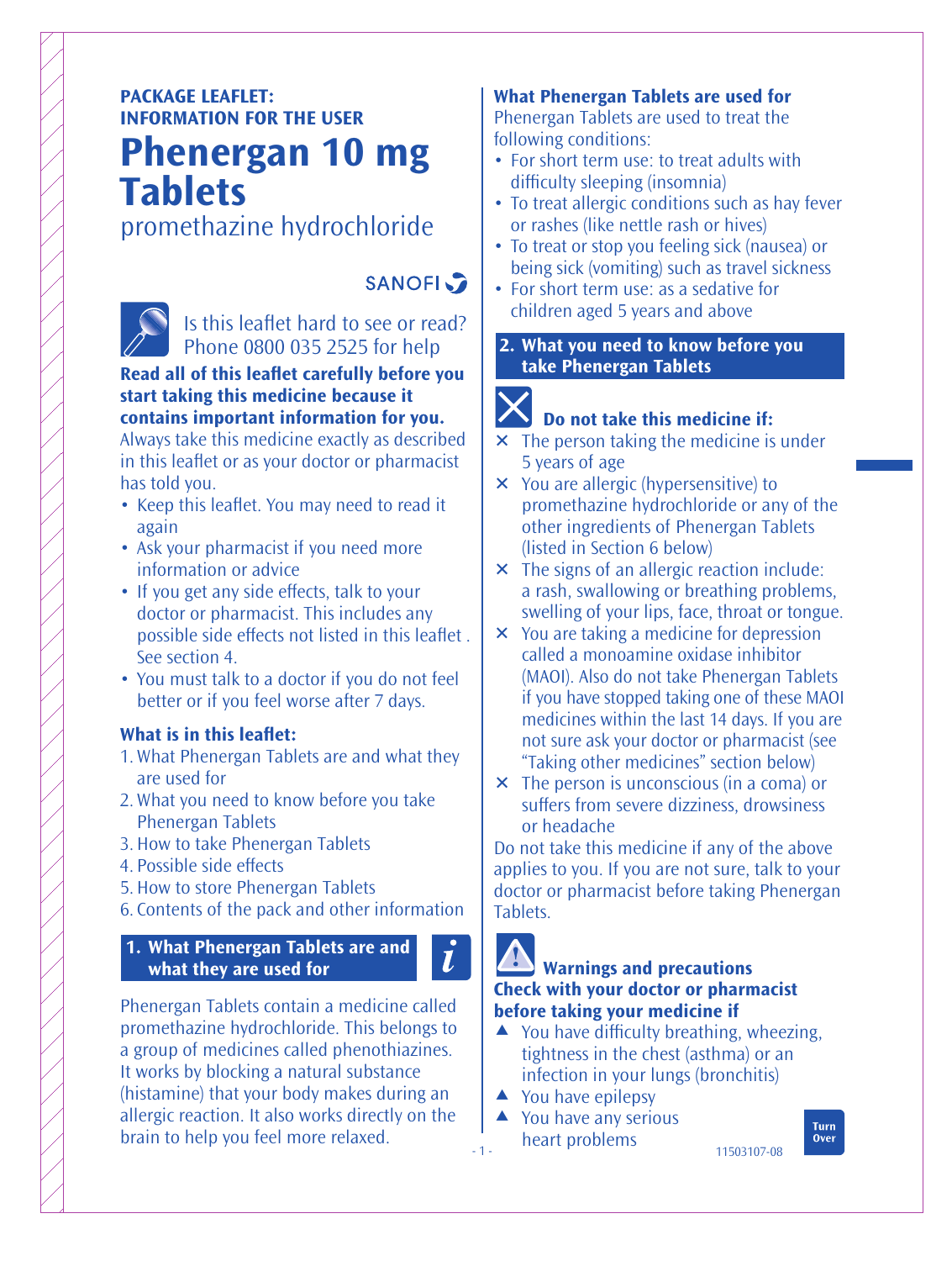## **PACKAGE LEAFLET: INFORMATION FOR THE USER**

## **Phenergan 10 mg Tablets**

## promethazine hydrochloride



# **SANOFI**

Is this leaflet hard to see or read? Phone 0800 035 2525 for help

#### **Read all of this leaflet carefully before you start taking this medicine because it contains important information for you.**

Always take this medicine exactly as described in this leaflet or as your doctor or pharmacist has told you.

- Keep this leaflet. You may need to read it again
- Ask your pharmacist if you need more information or advice
- If you get any side effects, talk to your doctor or pharmacist. This includes any possible side effects not listed in this leaflet. See section 4.
- You must talk to a doctor if you do not feel better or if you feel worse after 7 days.

#### **What is in this leaflet:**

- 1. What Phenergan Tablets are and what they are used for
- 2. What you need to know before you take Phenergan Tablets
- 3. How to take Phenergan Tablets
- 4. Possible side effects
- 5. How to store Phenergan Tablets
- 6. Contents of the pack and other information

#### **1. What Phenergan Tablets are and what they are used for**

Phenergan Tablets contain a medicine called promethazine hydrochloride. This belongs to a group of medicines called phenothiazines. It works by blocking a natural substance (histamine) that your body makes during an allergic reaction. It also works directly on the brain to help you feel more relaxed.

#### **What Phenergan Tablets are used for** Phenergan Tablets are used to treat the

following conditions:

- For short term use: to treat adults with difficulty sleeping (insomnia)
- To treat allergic conditions such as hay fever or rashes (like nettle rash or hives)
- To treat or stop you feeling sick (nausea) or being sick (vomiting) such as travel sickness
- For short term use: as a sedative for children aged 5 years and above
- **2. What you need to know before you take Phenergan Tablets**

# IX

### **Do not take this medicine if:**

- $\times$  The person taking the medicine is under 5 years of age
- You are allergic (hypersensitive) to promethazine hydrochloride or any of the other ingredients of Phenergan Tablets (listed in Section 6 below)
- $\times$  The signs of an allergic reaction include: a rash, swallowing or breathing problems, swelling of your lips, face, throat or tongue.
- You are taking a medicine for depression called a monoamine oxidase inhibitor (MAOI). Also do not take Phenergan Tablets if you have stopped taking one of these MAOI medicines within the last 14 days. If you are not sure ask your doctor or pharmacist (see "Taking other medicines" section below)
- The person is unconscious (in a coma) or suffers from severe dizziness, drowsiness or headache

Do not take this medicine if any of the above applies to you. If you are not sure, talk to your doctor or pharmacist before taking Phenergan Tablets.

# **Warnings and precautions**

### **Check with your doctor or pharmacist before taking your medicine if**

- $\triangle$  You have difficulty breathing, wheezing, tightness in the chest (asthma) or an infection in your lungs (bronchitis)
- $\triangle$  You have epilepsy

- 1 -

 $\tilde{l}$ 

▲ You have any serious heart problems

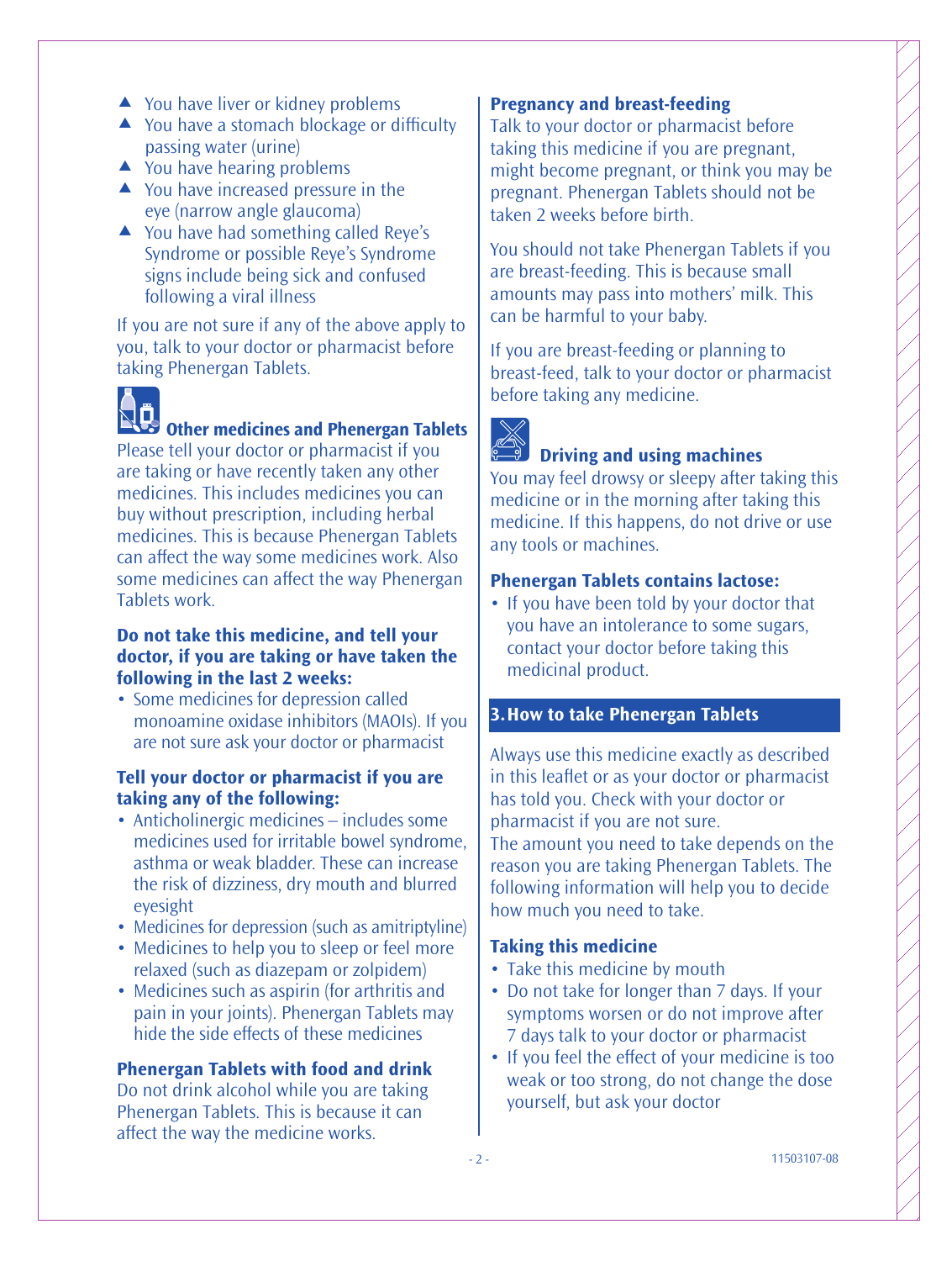- ▲ You have liver or kidney problems
- $\triangle$  You have a stomach blockage or difficulty passing water (urine)
- $\triangle$  You have hearing problems
- ▲ You have increased pressure in the eye (narrow angle glaucoma)
- ▲ You have had something called Reye's Syndrome or possible Reye's Syndrome signs include being sick and confused following a viral illness

If you are not sure if any of the above apply to you, talk to your doctor or pharmacist before taking Phenergan Tablets.

# **Other medicines and Phenergan Tablets**

Please tell your doctor or pharmacist if you are taking or have recently taken any other medicines. This includes medicines you can buy without prescription, including herbal medicines. This is because Phenergan Tablets can affect the way some medicines work. Also some medicines can affect the way Phenergan Tablets work.

#### **Do not take this medicine, and tell your doctor, if you are taking or have taken the following in the last 2 weeks:**

• Some medicines for depression called monoamine oxidase inhibitors (MAOIs). If you are not sure ask your doctor or pharmacist

#### **Tell your doctor or pharmacist if you are taking any of the following:**

- Anticholinergic medicines includes some medicines used for irritable bowel syndrome, asthma or weak bladder. These can increase the risk of dizziness, dry mouth and blurred eyesight
- Medicines for depression (such as amitriptyline)
- Medicines to help you to sleep or feel more relaxed (such as diazepam or zolpidem)
- Medicines such as aspirin (for arthritis and pain in your joints). Phenergan Tablets may hide the side effects of these medicines

#### **Phenergan Tablets with food and drink**

Do not drink alcohol while you are taking Phenergan Tablets. This is because it can affect the way the medicine works.

#### **Pregnancy and breast-feeding**

Talk to your doctor or pharmacist before taking this medicine if you are pregnant, might become pregnant, or think you may be pregnant. Phenergan Tablets should not be taken 2 weeks before birth.

You should not take Phenergan Tablets if you are breast-feeding. This is because small amounts may pass into mothers' milk. This can be harmful to your baby.

If you are breast-feeding or planning to breast-feed, talk to your doctor or pharmacist before taking any medicine.



#### **Driving and using machines**

You may feel drowsy or sleepy after taking this medicine or in the morning after taking this medicine. If this happens, do not drive or use any tools or machines.

#### **Phenergan Tablets contains lactose:**

• If you have been told by your doctor that you have an intolerance to some sugars, contact your doctor before taking this medicinal product.

#### **3. How to take Phenergan Tablets**

Always use this medicine exactly as described in this leaflet or as your doctor or pharmacist has told you. Check with your doctor or pharmacist if you are not sure. The amount you need to take depends on the

reason you are taking Phenergan Tablets. The following information will help you to decide how much you need to take.

#### **Taking this medicine**

- Take this medicine by mouth
- Do not take for longer than 7 days. If your symptoms worsen or do not improve after 7 days talk to your doctor or pharmacist
- If you feel the effect of your medicine is too weak or too strong, do not change the dose yourself, but ask your doctor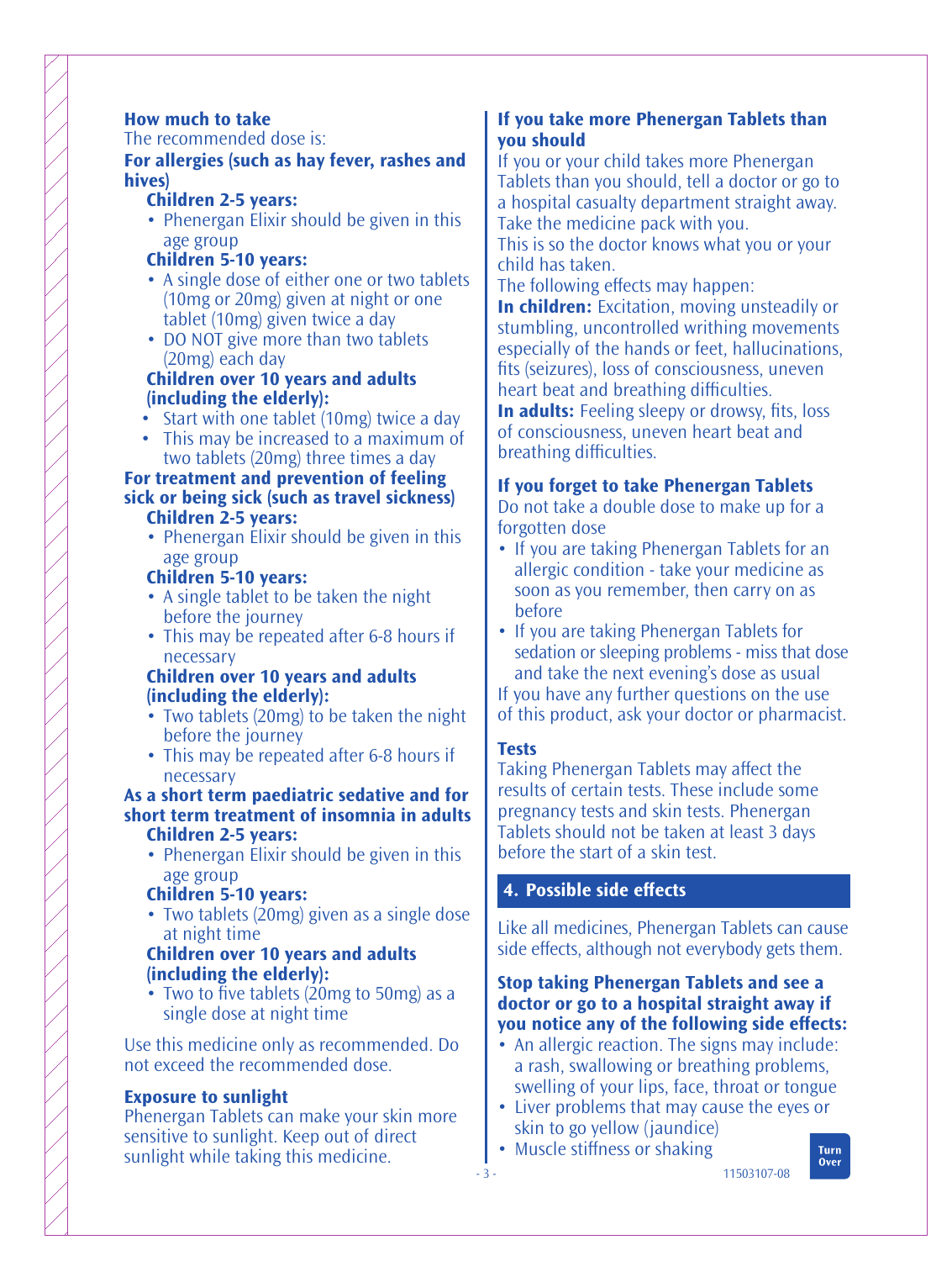#### **How much to take**

The recommended dose is:

**For allergies (such as hay fever, rashes and hives)**

- **Children 2-5 years:**
- Phenergan Elixir should be given in this age group

#### **Children 5-10 years:**

- A single dose of either one or two tablets (10mg or 20mg) given at night or one tablet (10mg) given twice a day
- DO NOT give more than two tablets (20mg) each day

#### **Children over 10 years and adults (including the elderly):**

- Start with one tablet (10mg) twice a day
- This may be increased to a maximum of two tablets (20mg) three times a day

#### **For treatment and prevention of feeling sick or being sick (such as travel sickness) Children 2-5 years:**

• Phenergan Elixir should be given in this age group

#### **Children 5-10 years:**

- A single tablet to be taken the night before the journey
- This may be repeated after 6-8 hours if necessary

#### **Children over 10 years and adults (including the elderly):**

- Two tablets (20mg) to be taken the night before the journey
- This may be repeated after 6-8 hours if necessary

#### **As a short term paediatric sedative and for short term treatment of insomnia in adults Children 2-5 years:**

• Phenergan Elixir should be given in this age group

#### **Children 5-10 years:**

• Two tablets (20mg) given as a single dose at night time

#### **Children over 10 years and adults (including the elderly):**

• Two to five tablets (20mg to 50mg) as a single dose at night time

Use this medicine only as recommended. Do not exceed the recommended dose.

#### **Exposure to sunlight**

Phenergan Tablets can make your skin more sensitive to sunlight. Keep out of direct sunlight while taking this medicine.

#### **If you take more Phenergan Tablets than you should**

If you or your child takes more Phenergan Tablets than you should, tell a doctor or go to a hospital casualty department straight away. Take the medicine pack with you.

This is so the doctor knows what you or your child has taken.

The following effects may happen:

**In children:** Excitation, moving unsteadily or stumbling, uncontrolled writhing movements especially of the hands or feet, hallucinations, fits (seizures), loss of consciousness, uneven heart beat and breathing difficulties.

**In adults:** Feeling sleepy or drowsy, fits, loss of consciousness, uneven heart beat and breathing difficulties.

#### **If you forget to take Phenergan Tablets**

Do not take a double dose to make up for a forgotten dose

- If you are taking Phenergan Tablets for an allergic condition - take your medicine as soon as you remember, then carry on as before
- If you are taking Phenergan Tablets for sedation or sleeping problems - miss that dose and take the next evening's dose as usual If you have any further questions on the use

of this product, ask your doctor or pharmacist.

#### **Tests**

Taking Phenergan Tablets may affect the results of certain tests. These include some pregnancy tests and skin tests. Phenergan Tablets should not be taken at least 3 days before the start of a skin test.

#### **4. Possible side effects**

Like all medicines, Phenergan Tablets can cause side effects, although not everybody gets them.

#### **Stop taking Phenergan Tablets and see a doctor or go to a hospital straight away if you notice any of the following side effects:**

- An allergic reaction. The signs may include: a rash, swallowing or breathing problems, swelling of your lips, face, throat or tongue
- Liver problems that may cause the eyes or skin to go yellow (jaundice)
- Muscle stiffness or shaking

11503107-08

Turn **Over**